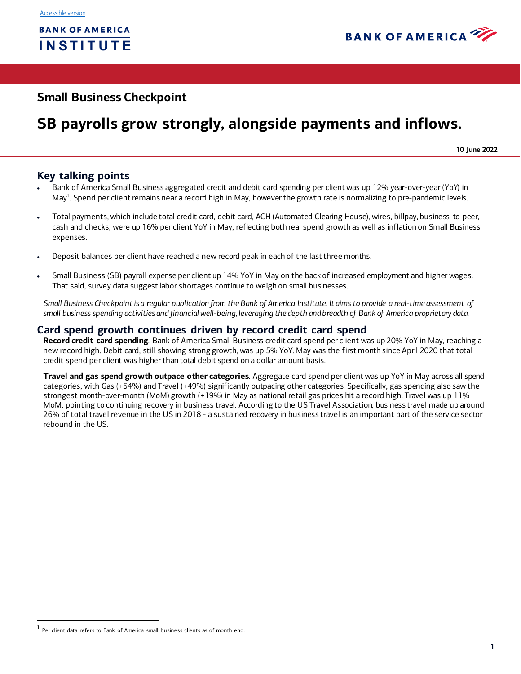

# **Small Business Checkpoint**

# **SB payrolls grow strongly, alongside payments and inflows.**

**10 June 2022**

## **Key talking points**

- Bank of America Small Business aggregated credit and debit card spending per client was up 12% year-over-year (YoY) in May<sup>1</sup>. Spend per client remains near a record high in May, however the growth rate is normalizing to pre-pandemic levels.
- Total payments, which include total credit card, debit card, ACH (Automated Clearing House), wires, billpay, business-to-peer, cash and checks, were up 16% per client YoY in May, reflecting both real spend growth as well as inflation on Small Business expenses.
- Deposit balances per client have reached a new record peak in each of the last three months.
- Small Business (SB) payroll expense per client up 14% YoY in May on the back of increased employment and higher wages. That said, survey data suggest labor shortages continue to weigh on small businesses.

*Small Business Checkpoint is a regular publication from the Bank of America Institute. It aims to provide a real-time assessment of small business spending activities and financial well-being, leveraging the depth and breadth of Bank of America proprietary data.* 

### **Card spend growth continues driven by record credit card spend**

**Record credit card spending**. Bank of America Small Business credit card spend per client was up 20% YoY in May, reaching a new record high. Debit card, still showing strong growth, was up 5% YoY. May was the first month since April 2020 that total credit spend per client was higher than total debit spend on a dollar amount basis.

**Travel and gas spend growth outpace other categories**. Aggregate card spend per client was up YoY in May across all spend categories, with Gas (+54%) and Travel (+49%) significantly outpacing other categories. Specifically, gas spending also saw the strongest month-over-month (MoM) growth (+19%) in May as national retail gas prices hit a record high. Travel was up 11% MoM, pointing to continuing recovery in business travel. According to the US Travel Association, business travel made up around 26% of total travel revenue in the US in 2018 - a sustained recovery in business travel is an important part of the service sector rebound in the US.

 $<sup>1</sup>$  Per client data refers to Bank of America small business clients as of month end.</sup>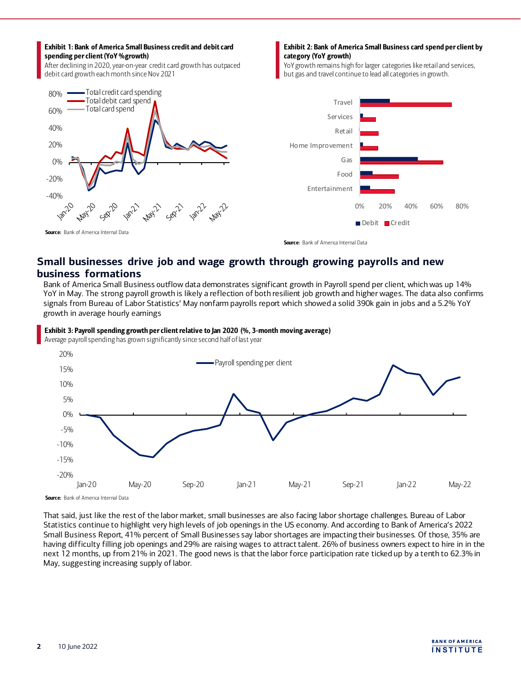#### Exhibit 1: Bank of America Small Business credit and debit card spending per client(YoY %growth)

After declining in 2020, year-on-year credit card growth has outpaced debit card growth each month since Nov 2021



#### Exhibit 2: Bank of America Small Business card spend per client by category (YoY growth)

YoY growth remains high for larger categories like retail and services, but gas and travel continue to lead all categories in growth.



Source: Bank of America Internal Data

# **Small businesses drive job and wage growth through growing payrolls and new business formations**

Bank of America Small Business outflow data demonstrates significant growth in Payroll spend per client, which was up 14% YoY in May. The strong payroll growth is likely a reflection of both resilient job growth and higher wages. The data also confirms signals from Bureau of Labor Statistics' May nonfarm payrolls report which showed a solid 390k gain in jobs and a 5.2% YoY growth in average hourly earnings

### Exhibit 3: Payroll spending growth per client relative to Jan 2020 (%, 3-month moving average)

Average payroll spending has grown significantly since second half of last year



Source: Bank of America Internal Data

That said, just like the rest of the labor market, small businesses are also facing labor shortage challenges. Bureau of Labor Statistics continue to highlight very high levels of job openings in the US economy. And according to Bank of America's 2022 Small Business Report, 41% percent of Small Businesses say labor shortages are impacting their businesses. Of those, 35% are having difficulty filling job openings and 29% are raising wages to attract talent. 26% of business owners expect to hire in in the next 12 months, up from 21% in 2021. The good news is that the labor force participation rate ticked up by a tenth to 62.3% in May, suggesting increasing supply of labor.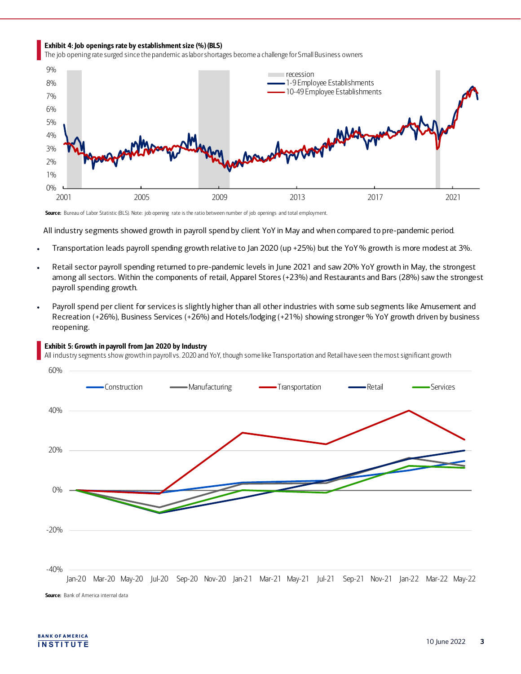#### Exhibit 4: Job openings rate by establishment size (%)(BLS)

The job opening rate surged since the pandemic as labor shortages become a challenge for Small Business owners



Source: Bureau of Labor Statistic (BLS). Note: job opening rate is the ratio between number of job openings and total employment.

All industry segments showed growth in payroll spend by client YoY in May and when compared to pre-pandemic period.

- Transportation leads payroll spending growth relative to Jan 2020 (up +25%) but the YoY % growth is more modest at 3%.
- Retail sector payroll spending returned to pre-pandemic levels in June 2021 and saw 20% YoY growth in May, the strongest among all sectors. Within the components of retail, Apparel Stores (+23%) and Restaurants and Bars (28%) saw the strongest payroll spending growth.
- Payroll spend per client for services is slightly higher than all other industries with some sub segments like Amusement and Recreation (+26%), Business Services (+26%) and Hotels/lodging (+21%) showing stronger % YoY growth driven by business reopening.



Exhibit 5: Growth in payroll from Jan 2020 by Industry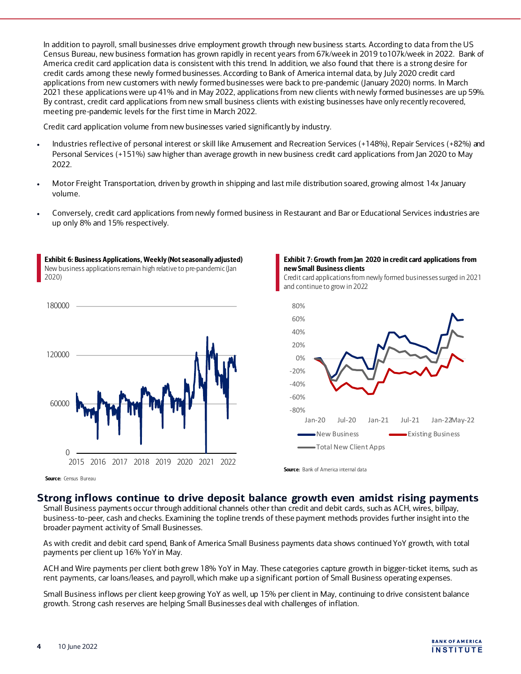In addition to payroll, small businesses drive employment growth through new business starts. According to data from the US Census Bureau, new business formation has grown rapidly in recent years from 67k/week in 2019 to107k/week in 2022. Bank of America credit card application data is consistent with this trend. In addition, we also found that there is a strong desire for credit cards among these newly formed businesses. According to Bank of America internal data, by July 2020 credit card applications from new customers with newly formed businesses were back to pre-pandemic (January 2020) norms. In March 2021 these applications were up 41% and in May 2022, applications from new clients with newly formed businesses are up 59%. By contrast, credit card applications from new small business clients with existing businesses have only recently recovered, meeting pre-pandemic levels for the first time in March 2022.

Credit card application volume from new businesses varied significantly by industry.

- Industries reflective of personal interest or skill like Amusement and Recreation Services (+148%), Repair Services (+82%) and Personal Services (+151%) saw higher than average growth in new business credit card applications from Jan 2020 to May 2022.
- Motor Freight Transportation, driven by growth in shipping and last mile distribution soared, growing almost 14x January volume.
- Conversely, credit card applications from newly formed business in Restaurant and Bar or Educational Services industries are up only 8% and 15% respectively.



Exhibit 6: Business Applications, Weekly (Not seasonally adjusted) New business applications remain high relative to pre-pandemic(Jan



Credit card applications from newly formed businesses surged in 2021 and continue to grow in 2022



Source: Census Bureau

### **Strong inflows continue to drive deposit balance growth even amidst rising payments**

Source: Bank of America internal data

Small Business payments occur through additional channels other than credit and debit cards, such as ACH, wires, billpay, business-to-peer, cash and checks. Examining the topline trends of these payment methods provides further insight into the broader payment activity of Small Businesses.

As with credit and debit card spend, Bank of America Small Business payments data shows continued YoY growth, with total payments per client up 16% YoY in May.

ACH and Wire payments per client both grew 18% YoY in May. These categories capture growth in bigger-ticket items, such as rent payments, car loans/leases, and payroll, which make up a significant portion of Small Business operating expenses.

Small Business inflows per client keep growing YoY as well, up 15% per client in May, continuing to drive consistent balance growth. Strong cash reserves are helping Small Businesses deal with challenges of inflation.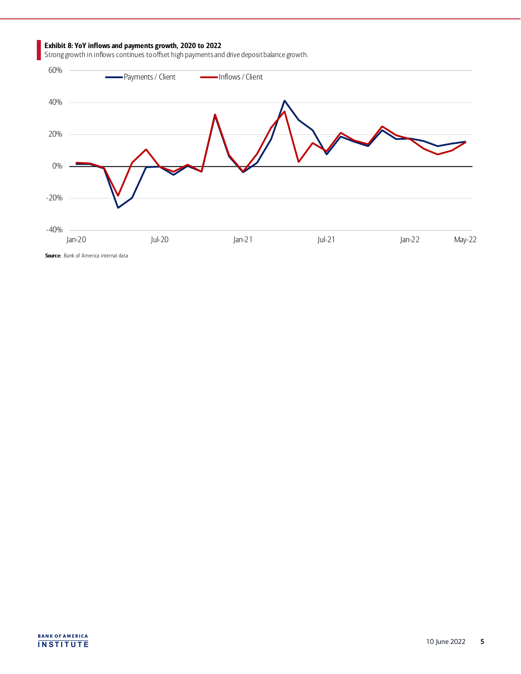#### Exhibit 8: YoY inflows and payments growth, 2020 to 2022

Strong growth in inflows continues to offset high payments and drive deposit balance growth.

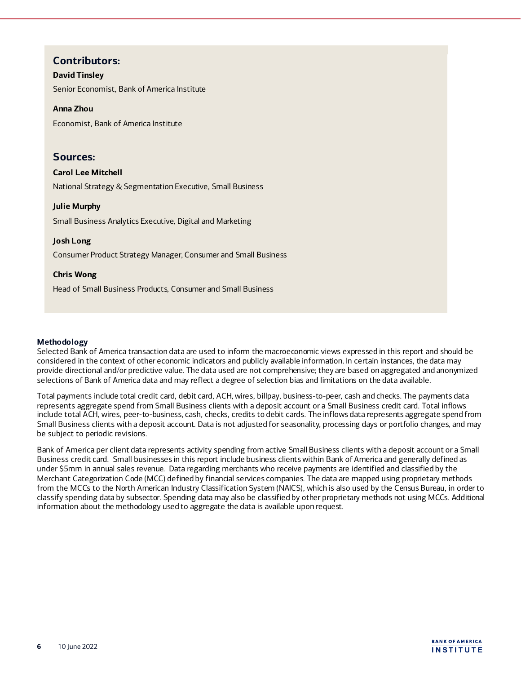## **Contributors:**

### **David Tinsley**

Senior Economist, Bank of America Institute

#### **Anna Zhou**

Economist, Bank of America Institute

### **Sources:**

### **Carol Lee Mitchell**

National Strategy & Segmentation Executive, Small Business

### **Julie Murphy**

Small Business Analytics Executive, Digital and Marketing

### **Josh Long**

Consumer Product Strategy Manager, Consumer and Small Business

### **Chris Wong**

Head of Small Business Products, Consumer and Small Business

### **Methodology**

Selected Bank of America transaction data are used to inform the macroeconomic views expressed in this report and should be considered in the context of other economic indicators and publicly available information. In certain instances, the data may provide directional and/or predictive value. The data used are not comprehensive; they are based on aggregated and anonymized selections of Bank of America data and may reflect a degree of selection bias and limitations on the data available.

Total payments include total credit card, debit card, ACH, wires, billpay, business-to-peer, cash and checks. The payments data represents aggregate spend from Small Business clients with a deposit account or a Small Business credit card. Total inflows include total ACH, wires, peer-to-business, cash, checks, credits to debit cards. The inflows data represents aggregate spend from Small Business clients with a deposit account. Data is not adjusted for seasonality, processing days or portfolio changes, and may be subject to periodic revisions.

Bank of America per client data represents activity spending from active Small Business clients with a deposit account or a Small Business credit card. Small businesses in this report include business clients within Bank of America and generally defined as under \$5mm in annual sales revenue. Data regarding merchants who receive payments are identified and classified by the Merchant Categorization Code (MCC) defined by financial services companies. The data are mapped using proprietary methods from the MCCs to the North American Industry Classification System (NAICS), which is also used by the Census Bureau, in order to classify spending data by subsector. Spending data may also be classified by other proprietary methods not using MCCs. Additional information about the methodology used to aggregate the data is available upon request.